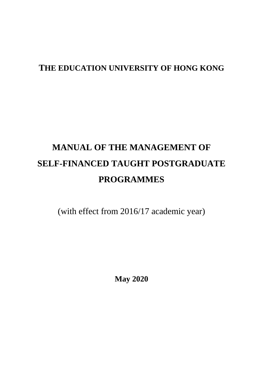# **THE EDUCATION UNIVERSITY OF HONG KONG**

# **MANUAL OF THE MANAGEMENT OF SELF-FINANCED TAUGHT POSTGRADUATE PROGRAMMES**

(with effect from 2016/17 academic year)

**May 2020**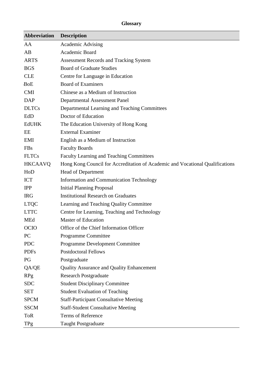# **Glossary**

| <b>Abbreviation</b> | <b>Description</b>                                                            |
|---------------------|-------------------------------------------------------------------------------|
| AA                  | <b>Academic Advising</b>                                                      |
| AB                  | Academic Board                                                                |
| <b>ARTS</b>         | <b>Assessment Records and Tracking System</b>                                 |
| <b>BGS</b>          | <b>Board of Graduate Studies</b>                                              |
| <b>CLE</b>          | Centre for Language in Education                                              |
| <b>BoE</b>          | <b>Board of Examiners</b>                                                     |
| <b>CMI</b>          | Chinese as a Medium of Instruction                                            |
| <b>DAP</b>          | <b>Departmental Assessment Panel</b>                                          |
| <b>DLTCs</b>        | Departmental Learning and Teaching Committees                                 |
| EdD                 | Doctor of Education                                                           |
| <b>EdUHK</b>        | The Education University of Hong Kong                                         |
| EE                  | <b>External Examiner</b>                                                      |
| EMI                 | English as a Medium of Instruction                                            |
| <b>FBs</b>          | <b>Faculty Boards</b>                                                         |
| <b>FLTCs</b>        | Faculty Learning and Teaching Committees                                      |
| <b>HKCAAVQ</b>      | Hong Kong Council for Accreditation of Academic and Vocational Qualifications |
| HoD                 | Head of Department                                                            |
| <b>ICT</b>          | <b>Information and Communication Technology</b>                               |
| <b>IPP</b>          | <b>Initial Planning Proposal</b>                                              |
| <b>IRG</b>          | <b>Institutional Research on Graduates</b>                                    |
| <b>LTQC</b>         | Learning and Teaching Quality Committee                                       |
| <b>LTTC</b>         | Centre for Learning, Teaching and Technology                                  |
| <b>MEd</b>          | <b>Master of Education</b>                                                    |
| <b>OCIO</b>         | Office of the Chief Information Officer                                       |
| PC                  | Programme Committee                                                           |
| <b>PDC</b>          | <b>Programme Development Committee</b>                                        |
| <b>PDFs</b>         | <b>Postdoctoral Fellows</b>                                                   |
| PG                  | Postgraduate                                                                  |
| QA/QE               | Quality Assurance and Quality Enhancement                                     |
| <b>RPg</b>          | <b>Research Postgraduate</b>                                                  |
| <b>SDC</b>          | <b>Student Disciplinary Committee</b>                                         |
| <b>SET</b>          | <b>Student Evaluation of Teaching</b>                                         |
| <b>SPCM</b>         | <b>Staff-Participant Consultative Meeting</b>                                 |
| <b>SSCM</b>         | <b>Staff-Student Consultative Meeting</b>                                     |
| <b>ToR</b>          | Terms of Reference                                                            |
| TPg                 | <b>Taught Postgraduate</b>                                                    |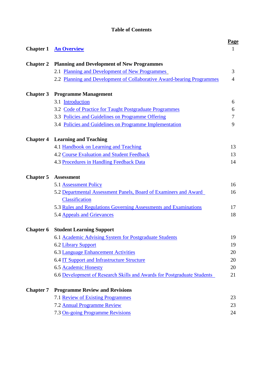# **Table of Contents**

| <b>Chapter 1</b> | <b>An Overview</b>                                                      | <b>Page</b><br>1 |
|------------------|-------------------------------------------------------------------------|------------------|
| <b>Chapter 2</b> | <b>Planning and Development of New Programmes</b>                       |                  |
|                  | 2.1 Planning and Development of New Programmes                          | 3                |
|                  | 2.2 Planning and Development of Collaborative Award-bearing Programmes  | $\overline{4}$   |
|                  | <b>Chapter 3</b> Programme Management                                   |                  |
|                  | 3.1 Introduction                                                        | 6                |
|                  | 3.2 Code of Practice for Taught Postgraduate Programmes                 | 6                |
|                  | 3.3 Policies and Guidelines on Programme Offering                       | 7                |
|                  | 3.4 Policies and Guidelines on Programme Implementation                 | 9                |
| <b>Chapter 4</b> | <b>Learning and Teaching</b>                                            |                  |
|                  | 4.1 Handbook on Learning and Teaching                                   | 13               |
|                  | <b>4.2 Course Evaluation and Student Feedback</b>                       | 13               |
|                  | 4.3 Procedures in Handling Feedback Data                                | 14               |
| <b>Chapter 5</b> | <b>Assessment</b>                                                       |                  |
|                  | 5.1 Assessment Policy                                                   | 16               |
|                  | 5.2 Departmental Assessment Panels, Board of Examiners and Award        | 16               |
|                  | Classification                                                          |                  |
|                  | 5.3 Rules and Regulations Governing Assessments and Examinations        | 17               |
|                  | 5.4 Appeals and Grievances                                              | 18               |
|                  | <b>Chapter 6 Student Learning Support</b>                               |                  |
|                  | 6.1 Academic Advising System for Postgraduate Students                  | 19               |
|                  | 6.2 Library Support                                                     | 19               |
|                  | <b>6.3 Language Enhancement Activities</b>                              | 20               |
|                  | 6.4 IT Support and Infrastructure Structure                             | 20               |
|                  | 6.5 Academic Honesty                                                    | 20               |
|                  | 6.6 Development of Research Skills and Awards for Postgraduate Students | 21               |
| <b>Chapter 7</b> | <b>Programme Review and Revisions</b>                                   |                  |
|                  | 7.1 Review of Existing Programmes                                       | 23               |
|                  | 7.2 Annual Programme Review                                             | 23               |
|                  | 7.3 On-going Programme Revisions                                        | 24               |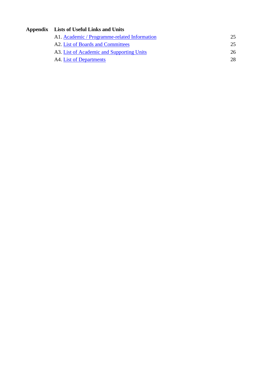# **Appendix Lists of Useful Links and Units**

| A1. Academic / Programme-related Information | 25 |
|----------------------------------------------|----|
| A2. List of Boards and Committees            | 25 |
| A3. List of Academic and Supporting Units    | 26 |
| A4. List of Departments                      | 28 |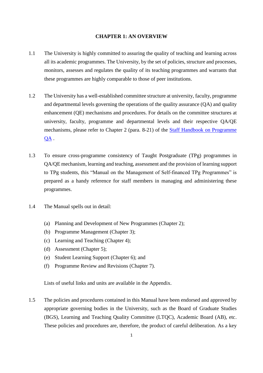#### **CHAPTER 1: AN OVERVIEW**

- <span id="page-4-0"></span>1.1 The University is highly committed to assuring the quality of teaching and learning across all its academic programmes. The University, by the set of policies, structure and processes, monitors, assesses and regulates the quality of its teaching programmes and warrants that these programmes are highly comparable to those of peer institutions.
- 1.2 The University has a well-established committee structure at university, faculty, programme and departmental levels governing the operations of the quality assurance (QA) and quality enhancement (QE) mechanisms and procedures. For details on the committee structures at university, faculty, programme and departmental levels and their respective QA/QE mechanisms, please refer to Chapter 2 (para. 8-21) of the [Staff Handbook on Programme](https://www.eduhk.hk/re/modules/content/item.php?categoryid=43&itemid=119)  [QA](https://www.eduhk.hk/re/modules/content/item.php?categoryid=43&itemid=119) .
- 1.3 To ensure cross-programme consistency of Taught Postgraduate (TPg) programmes in QA/QE mechanism, learning and teaching, assessment and the provision of learning support to TPg students, this "Manual on the Management of Self-financed TPg Programmes" is prepared as a handy reference for staff members in managing and administering these programmes.
- 1.4 The Manual spells out in detail:
	- (a) Planning and Development of New Programmes (Chapter 2);
	- (b) Programme Management (Chapter 3);
	- (c) Learning and Teaching (Chapter 4);
	- (d) Assessment (Chapter 5);
	- (e) Student Learning Support (Chapter 6); and
	- (f) Programme Review and Revisions (Chapter 7).

Lists of useful links and units are available in the Appendix.

1.5 The policies and procedures contained in this Manual have been endorsed and approved by appropriate governing bodies in the University, such as the Board of Graduate Studies (BGS), Learning and Teaching Quality Committee (LTQC), Academic Board (AB), etc. These policies and procedures are, therefore, the product of careful deliberation. As a key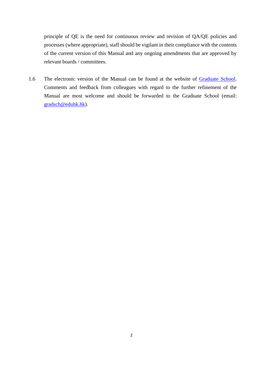principle of QE is the need for continuous review and revision of QA/QE policies and processes (where appropriate), staff should be vigilant in their compliance with the contents of the current version of this Manual and any ongoing amendments that are approved by relevant boards / committees.

1.6 The electronic version of the Manual can be found at the website of [Graduate School.](http://www.eduhk.hk/gradsch) Comments and feedback from colleagues with regard to the further refinement of the Manual are most welcome and should be forwarded to the Graduate School (email: [gradsch@eduhk.hk\)](mailto:gradsch@eduhk.hk).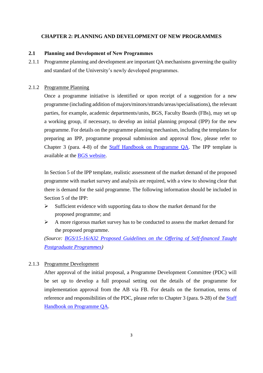#### **CHAPTER 2: PLANNING AND DEVELOPMENT OF NEW PROGRAMMES**

#### <span id="page-6-0"></span>**2.1 Planning and Development of New Programmes**

2.1.1 Programme planning and development are important QA mechanisms governing the quality and standard of the University's newly developed programmes.

#### 2.1.2 Programme Planning

Once a programme initiative is identified or upon receipt of a suggestion for a new programme (including addition of majors/minors/strands/areas/specialisations), the relevant parties, for example, academic departments/units, BGS, Faculty Boards (FBs), may set up a working group, if necessary, to develop an initial planning proposal (IPP) for the new programme. For details on the programme planning mechanism, including the templates for preparing an IPP, programme proposal submission and approval flow, please refer to Chapter 3 (para. 4-8) of the [Staff Handbook on Programme QA.](https://www.eduhk.hk/re/modules/content/item.php?categoryid=43&itemid=119) The IPP template is available at the [BGS website.](https://www.eduhk.hk/academic_board_bgs/view.php?sso=y&secid=2672)

In Section 5 of the IPP template, realistic assessment of the market demand of the proposed programme with market survey and analysis are required, with a view to showing clear that there is demand for the said programme. The following information should be included in Section 5 of the IPP:

- $\triangleright$  Sufficient evidence with supporting data to show the market demand for the proposed programme; and
- $\triangleright$  A more rigorous market survey has to be conducted to assess the market demand for the proposed programme.

*(Source: [BGS/15-16/A32 Proposed Guidelines on the Offering of Self-financed Taught](https://www.eduhk.hk/academic_board_bgs/view.php?sso=y&m=2267&secid=5867)  [Postgraduate Programmes\)](https://www.eduhk.hk/academic_board_bgs/view.php?sso=y&m=2267&secid=5867)*

#### 2.1.3 Programme Development

After approval of the initial proposal, a Programme Development Committee (PDC) will be set up to develop a full proposal setting out the details of the programme for implementation approval from the AB via FB. For details on the formation, terms of reference and responsibilities of the PDC, please refer to Chapter 3 (para. 9-28) of the [Staff](https://www.eduhk.hk/re/modules/content/item.php?categoryid=43&itemid=119)  [Handbook on Programme QA.](https://www.eduhk.hk/re/modules/content/item.php?categoryid=43&itemid=119)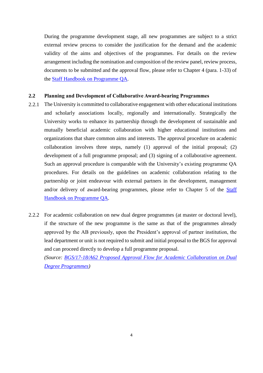During the programme development stage, all new programmes are subject to a strict external review process to consider the justification for the demand and the academic validity of the aims and objectives of the programmes. For details on the review arrangement including the nomination and composition of the review panel, review process, documents to be submitted and the approval flow, please refer to Chapter 4 (para. 1-33) of the [Staff Handbook on Programme QA.](https://www.eduhk.hk/re/modules/content/item.php?categoryid=43&itemid=119)

#### <span id="page-7-0"></span>**2.2 Planning and Development of Collaborative Award-bearing Programmes**

- 2.2.1 The University is committed to collaborative engagement with other educational institutions and scholarly associations locally, regionally and internationally. Strategically the University works to enhance its partnership through the development of sustainable and mutually beneficial academic collaboration with higher educational institutions and organizations that share common aims and interests. The approval procedure on academic collaboration involves three steps, namely (1) approval of the initial proposal; (2) development of a full programme proposal; and (3) signing of a collaborative agreement. Such an approval procedure is comparable with the University's existing programme QA procedures. For details on the guidelines on academic collaboration relating to the partnership or joint endeavour with external partners in the development, management and/or delivery of award-bearing programmes, please refer to Chapter 5 of the **Staff** [Handbook on Programme QA.](https://www.eduhk.hk/re/modules/content/item.php?categoryid=43&itemid=119)
- 2.2.2 For academic collaboration on new dual degree programmes (at master or doctoral level), if the structure of the new programme is the same as that of the programmes already approved by the AB previously, upon the President's approval of partner institution, the lead department or unit is not required to submit and initial proposal to the BGS for approval and can proceed directly to develop a full programme proposal.

*(Source: [BGS/17-18/A62 Proposed Approval Flow for Academic Collaboration on Dual](https://www.eduhk.hk/academic_board_bgs/view.php?sso=y&m=2267&secid=51712)  [Degree Programmes\)](https://www.eduhk.hk/academic_board_bgs/view.php?sso=y&m=2267&secid=51712)*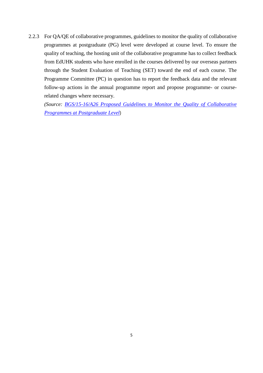2.2.3 For QA/QE of collaborative programmes, guidelines to monitor the quality of collaborative programmes at postgraduate (PG) level were developed at course level. To ensure the quality of teaching, the hosting unit of the collaborative programme has to collect feedback from EdUHK students who have enrolled in the courses delivered by our overseas partners through the Student Evaluation of Teaching (SET) toward the end of each course. The Programme Committee (PC) in question has to report the feedback data and the relevant follow-up actions in the annual programme report and propose programme- or courserelated changes where necessary.

*(Source: [BGS/15-16/A26 Proposed Guidelines to Monitor the Quality of Collaborative](https://www.eduhk.hk/academic_board_bgs/view.php?sso=y&m=2267&secid=5867)  [Programmes at Postgraduate Level](https://www.eduhk.hk/academic_board_bgs/view.php?sso=y&m=2267&secid=5867)*)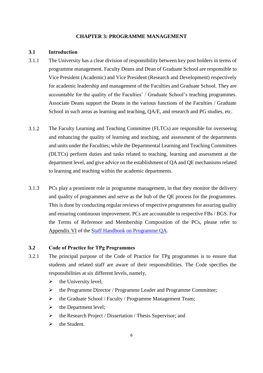#### **CHAPTER 3: PROGRAMME MANAGEMENT**

#### <span id="page-9-0"></span>**3.1 Introduction**

- 3.1.1 The University has a clear division of responsibility between key post holders in terms of programme management. Faculty Deans and Dean of Graduate School are responsible to Vice President (Academic) and Vice President (Research and Development) respectively for academic leadership and management of the Faculties and Graduate School. They are accountable for the quality of the Faculties' / Graduate School's teaching programmes. Associate Deans support the Deans in the various functions of the Faculties / Graduate School in such areas as learning and teaching, QA/E, and research and PG studies, etc.
- 3.1.2 The Faculty Learning and Teaching Committee (FLTCs) are responsible for overseeing and enhancing the quality of learning and teaching, and assessment of the departments and units under the Faculties; while the Departmental Learning and Teaching Committees (DLTCs) perform duties and tasks related to teaching, learning and assessment at the department level, and give advice on the establishment of QA and QE mechanisms related to learning and teaching within the academic departments.
- 3.1.3 PCs play a prominent role in programme management, in that they monitor the delivery and quality of programmes and serve as the hub of the QE process for the programmes. This is done by conducting regular reviews of respective programmes for assuring quality and ensuring continuous improvement. PCs are accountable to respective FBs / BGS. For the Terms of Reference and Membership Composition of the PCs, please refer to Appendix VI of the [Staff Handbook on Programme QA.](https://www.eduhk.hk/re/modules/content/item.php?categoryid=43&itemid=119)

#### <span id="page-9-1"></span>**3.2 Code of Practice for TPg Programmes**

- 3.2.1 The principal purpose of the Code of Practice for TPg programmes is to ensure that students and related staff are aware of their responsibilities. The Code specifies the responsibilities at six different levels, namely,
	- $\triangleright$  the University level;
	- the Programme Director / Programme Leader and Programme Committee;
	- $\triangleright$  the Graduate School / Faculty / Programme Management Team;
	- $\triangleright$  the Department level;
	- $\triangleright$  the Research Project / Dissertation / Thesis Supervisor; and
	- $\triangleright$  the Student.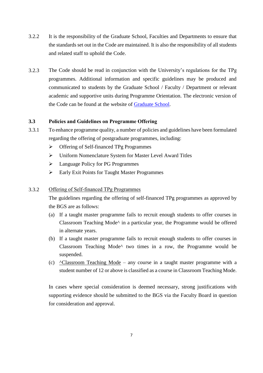- 3.2.2 It is the responsibility of the Graduate School, Faculties and Departments to ensure that the standards set out in the Code are maintained. It is also the responsibility of all students and related staff to uphold the Code.
- 3.2.3 The Code should be read in conjunction with the University's regulations for the TPg programmes. Additional information and specific guidelines may be produced and communicated to students by the Graduate School / Faculty / Department or relevant academic and supportive units during Programme Orientation. The electronic version of the Code can be found at the website of [Graduate School.](http://www.eduhk.hk/gradsch)

# <span id="page-10-0"></span>**3.3 Policies and Guidelines on Programme Offering**

- 3.3.1 To enhance programme quality, a number of policies and guidelines have been formulated regarding the offering of postgraduate programmes, including:
	- Offering of Self-financed TPg Programmes
	- Uniform Nomenclature System for Master Level Award Titles
	- $\triangleright$  Language Policy for PG Programmes
	- Early Exit Points for Taught Master Programmes

#### 3.3.2 Offering of Self-financed TPg Programmes

The guidelines regarding the offering of self-financed TPg programmes as approved by the BGS are as follows:

- (a) If a taught master programme fails to recruit enough students to offer courses in Classroom Teaching Mode^ in a particular year, the Programme would be offered in alternate years.
- (b) If a taught master programme fails to recruit enough students to offer courses in Classroom Teaching Mode^ two times in a row, the Programme would be suspended.
- (c) ^Classroom Teaching Mode any course in a taught master programme with a student number of 12 or above is classified as a course in Classroom Teaching Mode.

In cases where special consideration is deemed necessary, strong justifications with supporting evidence should be submitted to the BGS via the Faculty Board in question for consideration and approval.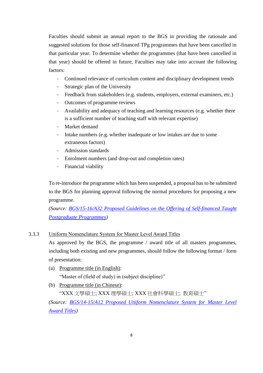Faculties should submit an annual report to the BGS in providing the rationale and suggested solutions for those self-financed TPg programmes that have been cancelled in that particular year. To determine whether the programmes (that have been cancelled in that year) should be offered in future, Faculties may take into account the following factors:

- Continued relevance of curriculum content and disciplinary development trends
- Strategic plan of the University
- Feedback from stakeholders (e.g. students, employers, external examiners, etc.)
- Outcomes of programme reviews
- Availability and adequacy of teaching and learning resources (e.g. whether there is a sufficient number of teaching staff with relevant expertise)
- Market demand
- Intake numbers (e.g. whether inadequate or low intakes are due to some extraneous factors)
- Admission standards
- Enrolment numbers (and drop-out and completion rates)
- Financial viability

To re-introduce the programme which has been suspended, a proposal has to be submitted to the BGS for planning approval following the normal procedures for proposing a new programme.

*(Source: [BGS/15-16/A32 Proposed Guidelines on the Offering of Self-financed Taught](https://www.eduhk.hk/academic_board_bgs/view.php?sso=y&m=2267&secid=5867)  [Postgraduate Programmes\)](https://www.eduhk.hk/academic_board_bgs/view.php?sso=y&m=2267&secid=5867)*

#### 3.3.3 Uniform Nomenclature System for Master Level Award Titles

As approved by the BGS, the programme / award title of all masters programmes, including both existing and new programmes, should follow the following format / form of presentation:

(a) Programme title (in English):

"Master of (field of study) in (subject discipline)"

(b) Programme title (in Chinese):

"XXX 文學碩士; XXX 理學碩士; XXX 社會科學碩士; 教育碩士"

*(Source: [BGS/14-15/A12 Proposed Uniform Nomenclature System for Master Level](https://www.eduhk.hk/academic_board_bgs/view.php?sso=y&m=2267&secid=4899)  [Award Titles\)](https://www.eduhk.hk/academic_board_bgs/view.php?sso=y&m=2267&secid=4899)*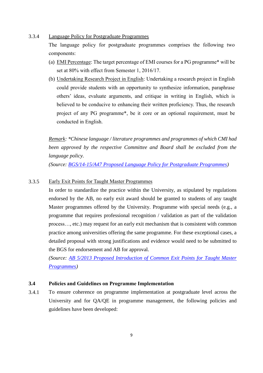#### 3.3.4 Language Policy for Postgraduate Programmes

The language policy for postgraduate programmes comprises the following two components:

- (a) EMI Percentage: The target percentage of EMI courses for a PG programme\* will be set at 80% with effect from Semester 1, 2016/17.
- (b) Undertaking Research Project in English: Undertaking a research project in English could provide students with an opportunity to synthesize information, paraphrase others' ideas, evaluate arguments, and critique in writing in English, which is believed to be conducive to enhancing their written proficiency. Thus, the research project of any PG programme\*, be it core or an optional requirement, must be conducted in English.

*Remark: \*Chinese language / literature programmes and programmes of which CMI had been approved by the respective Committee and Board shall be excluded from the language policy.* 

*(Source: [BGS/14-15/A47 Proposed Language Policy for Postgraduate Programmes\)](https://www.eduhk.hk/academic_board_bgs/view.php?sso=y&m=2267&secid=4899)*

#### 3.3.5 Early Exit Points for Taught Master Programmes

In order to standardize the practice within the University, as stipulated by regulations endorsed by the AB, no early exit award should be granted to students of any taught Master programmes offered by the University. Programme with special needs (e.g., a programme that requires professional recognition / validation as part of the validation process…, etc.) may request for an early exit mechanism that is consistent with common practice among universities offering the same programme. For these exceptional cases, a detailed proposal with strong justifications and evidence would need to be submitted to the BGS for endorsement and AB for approval.

*(Source: [AB 5/2013 Proposed Introduction of Common Exit Points for Taught Master](https://www.eduhk.hk/academic_board/view.php?sso=y&m=531&secid=3382)  [Programmes\)](https://www.eduhk.hk/academic_board/view.php?sso=y&m=531&secid=3382)*

#### <span id="page-12-0"></span>**3.4 Policies and Guidelines on Programme Implementation**

3.4.1 To ensure coherence on programme implementation at postgraduate level across the University and for QA/QE in programme management, the following policies and guidelines have been developed: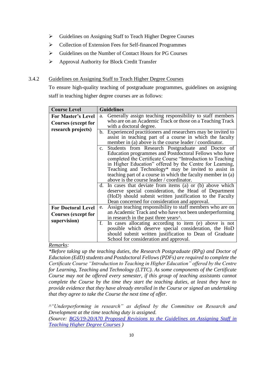- Guidelines on Assigning Staff to Teach Higher Degree Courses
- Collection of Extension Fees for Self-financed Programmes
- Guidelines on the Number of Contact Hours for PG Courses
- Approval Authority for Block Credit Transfer

## 3.4.2 Guidelines on Assigning Staff to Teach Higher Degree Courses

To ensure high-quality teaching of postgraduate programmes, guidelines on assigning staff in teaching higher degree courses are as follows:

| <b>Course Level</b>                                     | <b>Guidelines</b>                                                                                                                                                                                                                                                                                                                  |
|---------------------------------------------------------|------------------------------------------------------------------------------------------------------------------------------------------------------------------------------------------------------------------------------------------------------------------------------------------------------------------------------------|
| <b>For Master's Level</b><br>Courses (except for        | Generally assign teaching responsibility to staff members<br>a.<br>who are on an Academic Track or those on a Teaching Track                                                                                                                                                                                                       |
| research projects)                                      | with a doctoral degree.<br>b. Experienced practitioners and researchers may be invited to<br>assist in teaching part of a course in which the faculty<br>member in (a) above is the course leader / coordinator.<br>c. Students from Research Postgraduate and Doctor of<br>Education programmes and Postdoctoral Fellows who have |
|                                                         | completed the Certificate Course "Introduction to Teaching"<br>in Higher Education" offered by the Centre for Learning,<br>Teaching and Technology* may be invited to assist in<br>teaching part of a course in which the faculty member in (a)<br>above is the course leader / coordinator.                                       |
|                                                         | d. In cases that deviate from items (a) or (b) above which<br>deserve special consideration, the Head of Department<br>(HoD) should submit written justification to the Faculty<br>Dean concerned for consideration and approval.                                                                                                  |
| <b>For Doctoral Level</b><br><b>Courses (except for</b> | Assign teaching responsibility to staff members who are on<br>e.<br>an Academic Track and who have not been underperforming<br>in research in the past three years <sup><math>\wedge</math></sup> .                                                                                                                                |
| supervision)                                            | f. In cases allocating according to item (e) above is not<br>possible which deserve special consideration, the HoD<br>should submit written justification to Dean of Graduate<br>School for consideration and approval.                                                                                                            |

#### *Remarks:*

*\*Before taking up the teaching duties, the Research Postgraduate (RPg) and Doctor of Eductaion (EdD) students and Postdoctoral Fellows (PDFs) are required to complete the Certificate Course "Introduction to Teaching in Higher Education" offered by the Centre for Learning, Teaching and Technology (LTTC). As some components of the Certificate Course may not be offered every semester, if this group of teaching assistants cannot complete the Course by the time they start the teaching duties, at least they have to provide evidence that they have already enrolled in the Course or signed an undertaking that they agree to take the Course the next time of offer.* 

*^"Underperforming in research" as defined by the Committee on Research and Development at the time teaching duty is assigned.*

*(Source: [BGS/19-20/A70 Proposed Revisions to the Guidelines on Assigning Staff in](https://www.eduhk.hk/academic_board_bgs/view.php?sso=y&m=2267&secid=53165)  [Teaching Higher Degree Courses](https://www.eduhk.hk/academic_board_bgs/view.php?sso=y&m=2267&secid=53165) )*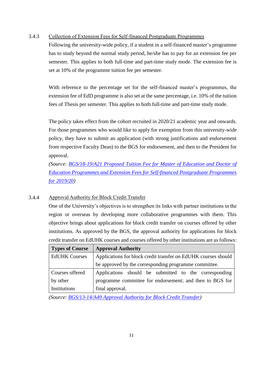#### 3.4.3 Collection of Extension Fees for Self-financed Postgraduate Programmes

Following the university-wide policy, if a student in a self-financed master's programme has to study beyond the normal study period, he/she has to pay for an extension fee per semester. This applies to both full-time and part-time study mode. The extension fee is set at 10% of the programme tuition fee per semester.

With reference to the percentage set for the self-financed master's programmes, the extension fee of EdD programme is also set at the same percentage, i.e. 10% of the tuition fees of Thesis per semester. This applies to both full-time and part-time study mode.

The policy takes effect from the cohort recruited in 2020/21 academic year and onwards. For those programmes who would like to apply for exemption from this university-wide policy, they have to submit an application (with strong justifications and endorsement from respective Faculty Dean) to the BGS for endorsement, and then to the President for approval.

*(Source: [BGS/18-19/A21 Proposed Tuition Fee for Master of Education](https://www.eduhk.hk/academic_board_bgs/view.php?sso=y&m=2267&secid=52496) and Doctor of [Education Programmes and Extension Fees for Self-financed Postgraduate Programmes](https://www.eduhk.hk/academic_board_bgs/view.php?sso=y&m=2267&secid=52496)  [for 2019/20\)](https://www.eduhk.hk/academic_board_bgs/view.php?sso=y&m=2267&secid=52496)* 

# 3.4.4 Approval Authority for Block Credit Transfer

One of the University's objectives is to strengthen its links with partner institutions in the region or overseas by developing more collaborative programmes with them. This objective brings about applications for block credit transfer on courses offered by other institutions. As approved by the BGS, the approval authority for applications for block credit transfer on EdUHK courses and courses offered by other institutions are as follows:

| <b>Types of Course</b> | <b>Approval Authority</b>                                      |  |  |
|------------------------|----------------------------------------------------------------|--|--|
| <b>EdUHK Courses</b>   | Applications for block credit transfer on EdUHK courses should |  |  |
|                        | be approved by the corresponding programme committee.          |  |  |
| Courses offered        | Applications should be submitted to the corresponding          |  |  |
| by other               | programme committee for endorsement; and then to BGS for       |  |  |
| Institutions           | final approval.                                                |  |  |

*(Source: [BGS/13-14/A49 Approval Authority for Block Credit Transfer\)](https://www.eduhk.hk/academic_board_bgs/view.php?sso=y&m=2267&secid=4346)*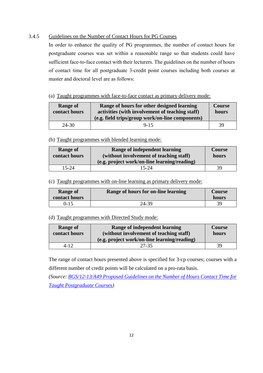#### 3.4.5 Guidelines on the Number of Contact Hours for PG Courses

In order to enhance the quality of PG programmes, the number of contact hours for postgraduate courses was set within a reasonable range so that students could have sufficient face-to-face contact with their lecturers. The guidelines on the number of hours of contact time for all postgraduate 3-credit point courses including both courses at master and doctoral level are as follows:

#### (a) Taught programmes with face-to-face contact as primary delivery mode:

| <b>Range of</b><br>contact hours | Range of hours for other designed learning<br>activities (with involvement of teaching staff)<br>(e.g. field trips/group work/on-line components) | <b>Course</b><br>hours |
|----------------------------------|---------------------------------------------------------------------------------------------------------------------------------------------------|------------------------|
| 24-30                            | $9 - 15$                                                                                                                                          | 39                     |

#### (b) Taught programmes with blended learning mode:

| <b>Range of</b> | Range of independent learning                | Course |
|-----------------|----------------------------------------------|--------|
| contact hours   | (without involvement of teaching staff)      | hours  |
|                 | (e.g. project work/on-line learning/reading) |        |
| 15-24           | 15-24                                        | 39     |

#### (c) Taught programmes with on-line learning as primary delivery mode:

| <b>Range of</b><br>contact hours | Range of hours for on-line learning | <b>Course</b><br>hours |
|----------------------------------|-------------------------------------|------------------------|
| $0 - 15$                         | 24-39                               | 39                     |

#### (d) Taught programmes with Directed Study mode:

| <b>Range of</b><br>contact hours | Range of independent learning<br>(without involvement of teaching staff)<br>(e.g. project work/on-line learning/reading) | Course<br>hours |
|----------------------------------|--------------------------------------------------------------------------------------------------------------------------|-----------------|
| 4-12                             | 27-35                                                                                                                    | 39              |

The range of contact hours presented above is specified for 3-cp courses; courses with a different number of credit points will be calculated on a pro-rata basis.

*(Source: [BGS/12-13/A49 Proposed Guidelines on the Number of Hours Contact Time for](https://www.eduhk.hk/academic_board_bgs/view.php?sso=y&m=2267&secid=3388)  [Taught Postgraduate Courses\)](https://www.eduhk.hk/academic_board_bgs/view.php?sso=y&m=2267&secid=3388)*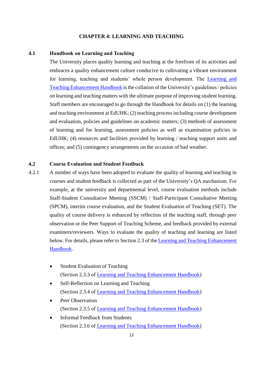#### **CHAPTER 4: LEARNING AND TEACHING**

#### **4.1 Handbook on Learning and Teaching**

<span id="page-16-0"></span>The University places quality learning and teaching at the forefront of its activities and embraces a quality enhancement culture conducive to cultivating a vibrant environment for learning, teaching and students' whole person development. The [Learning and](https://lt.eduhk.hk/teaching/learning-and-teaching-handbook/)  [Teaching Enhancement Handbook](https://lt.eduhk.hk/teaching/learning-and-teaching-handbook/) is the collation of the University's guidelines / policies on learning and teaching matters with the ultimate purpose of improving student learning. Staff members are encouraged to go through the Handbook for details on (1) the learning and teaching environment at EdUHK; (2) teaching process including course development and evaluation, policies and guidelines on academic matters; (3) methods of assessment of learning and for learning, assessment policies as well as examination policies in EdUHK; (4) resources and facilities provided by learning / teaching support units and offices; and (5) contingency arrangements on the occasion of bad weather.

## <span id="page-16-1"></span>**4.2 Course Evaluation and Student Feedback**

- 4.2.1 A number of ways have been adopted to evaluate the quality of learning and teaching in courses and student feedback is collected as part of the University's QA mechanism. For example, at the university and departmental level, course evaluation methods include Staff-Student Consultative Meeting (SSCM) / Staff-Participant Consultative Meeting (SPCM), interim course evaluation, and the Student Evaluation of Teaching (SET). The quality of course delivery is enhanced by reflection of the teaching staff, through peer observation or the Peer Support of Teaching Scheme, and feedback provided by external examiners/reviewers. Ways to evaluate the quality of teaching and learning are listed below. For details, please refer to Section 2.3 of the [Learning and Teaching Enhancement](https://lt.eduhk.hk/teaching/learning-and-teaching-handbook/)  [Handbook.](https://lt.eduhk.hk/teaching/learning-and-teaching-handbook/)
	- Student Evaluation of Teaching (Section 2.3.3 of [Learning and Teaching Enhancement Handbook\)](https://lt.eduhk.hk/teaching/learning-and-teaching-handbook/)
	- Self-Reflection on Learning and Teaching (Section 2.3.4 of [Learning and Teaching Enhancement Handbook\)](https://lt.eduhk.hk/teaching/learning-and-teaching-handbook/)
	- Peer Observation (Section 2.3.5 of [Learning and Teaching Enhancement Handbook\)](https://lt.eduhk.hk/teaching/learning-and-teaching-handbook/)
	- Informal Feedback from Students (Section 2.3.6 of [Learning and Teaching Enhancement Handbook\)](https://lt.eduhk.hk/teaching/learning-and-teaching-handbook/)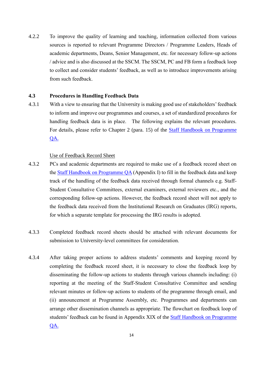4.2.2 To improve the quality of learning and teaching, information collected from various sources is reported to relevant Programme Directors / Programme Leaders, Heads of academic departments, Deans, Senior Management, etc. for necessary follow-up actions / advice and is also discussed at the SSCM. The SSCM, PC and FB form a feedback loop to collect and consider students' feedback, as well as to introduce improvements arising from such feedback.

#### <span id="page-17-0"></span>**4.3 Procedures in Handling Feedback Data**

4.3.1 With a view to ensuring that the University is making good use of stakeholders' feedback to inform and improve our programmes and courses, a set of standardized procedures for handling feedback data is in place. The following explains the relevant procedures. For details, please refer to Chapter 2 (para. 15) of the [Staff Handbook on Programme](https://www.eduhk.hk/re/modules/content/item.php?categoryid=43&itemid=119)  [QA.](https://www.eduhk.hk/re/modules/content/item.php?categoryid=43&itemid=119)

#### Use of Feedback Record Sheet

- 4.3.2 PCs and academic departments are required to make use of a feedback record sheet on the [Staff Handbook on Programme QA](https://www.eduhk.hk/re/modules/content/item.php?categoryid=43&itemid=119) (Appendix I) to fill in the feedback data and keep track of the handling of the feedback data received through formal channels e.g. Staff-Student Consultative Committees, external examiners, external reviewers etc., and the corresponding follow-up actions. However, the feedback record sheet will not apply to the feedback data received from the Institutional Research on Graduates (IRG) reports, for which a separate template for processing the IRG results is adopted.
- 4.3.3 Completed feedback record sheets should be attached with relevant documents for submission to University-level committees for consideration.
- 4.3.4 After taking proper actions to address students' comments and keeping record by completing the feedback record sheet, it is necessary to close the feedback loop by disseminating the follow-up actions to students through various channels including: (i) reporting at the meeting of the Staff-Student Consultative Committee and sending relevant minutes or follow-up actions to students of the programme through email, and (ii) announcement at Programme Assembly, etc. Programmes and departments can arrange other dissemination channels as appropriate. The flowchart on feedback loop of students' feedback can be found in Appendix XIX of the [Staff Handbook on Programme](https://www.eduhk.hk/re/modules/content/item.php?categoryid=43&itemid=119)  [QA.](https://www.eduhk.hk/re/modules/content/item.php?categoryid=43&itemid=119)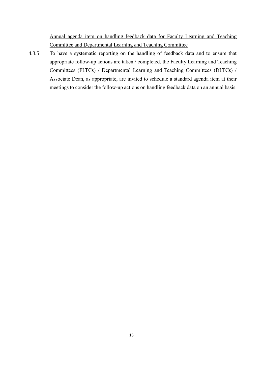Annual agenda item on handling feedback data for Faculty Learning and Teaching Committee and Departmental Learning and Teaching Committee

4.3.5 To have a systematic reporting on the handling of feedback data and to ensure that appropriate follow-up actions are taken / completed, the Faculty Learning and Teaching Committees (FLTCs) / Departmental Learning and Teaching Committees (DLTCs) / Associate Dean, as appropriate, are invited to schedule a standard agenda item at their meetings to consider the follow-up actions on handling feedback data on an annual basis.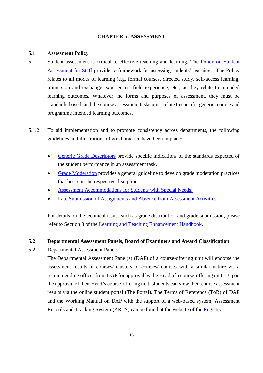#### **CHAPTER 5: ASSESSMENT**

#### <span id="page-19-0"></span>**5.1 Assessment Policy**

- 5.1.1 Student assessment is critical to effective teaching and learning. The [Policy on Student](https://www.eduhk.hk/re/modules/content/item.php?categoryid=19&itemid=109)  [Assessment for Staff](https://www.eduhk.hk/re/modules/content/item.php?categoryid=19&itemid=109) provides a framework for assessing students' learning. The Policy relates to all modes of learning (e.g. formal courses, directed study, self-access learning, immersion and exchange experiences, field experience, etc.) as they relate to intended learning outcomes. Whatever the forms and purposes of assessment, they must be standards-based, and the course assessment tasks must relate to specific generic, course and programme intended learning outcomes.
- 5.1.2 To aid implementation and to promote consistency across departments, the following guidelines and illustrations of good practice have been in place:
	- [Generic Grade Descriptors](https://www.eduhk.hk/re/modules/content/item.php?categoryid=19&itemid=109) provide specific indications of the standards expected of the student performance in an assessment task.
	- [Grade Moderation](https://www.eduhk.hk/re/modules/content/item.php?categoryid=19&itemid=109) provides a general guideline to develop grade moderation practices that best suit the respective disciplines.
	- [Assessment Accommodations for Students with Special Needs.](https://www.eduhk.hk/re/modules/content/item.php?categoryid=19&itemid=109)
	- [Late Submission of Assignments and Absence from Assessment Activities.](https://www.eduhk.hk/re/modules/content/item.php?categoryid=19&itemid=109)

For details on the technical issues such as grade distribution and grade submission, please refer to Section 3 of the [Learning and Teaching Enhancement Handbook.](https://lt.eduhk.hk/teaching/learning-and-teaching-handbook/)

# <span id="page-19-1"></span>**5.2 Departmental Assessment Panels, Board of Examiners and Award Classification**

# 5.2.1 Departmental Assessment Panels

The Departmental Assessment Panel(s) (DAP) of a course-offering unit will endorse the assessment results of courses/ clusters of courses/ courses with a similar nature via a recommending officer from DAP for approval by the Head of a course-offering unit. Upon the approval of their Head's course-offering unit, students can view their course assessment results via the online student portal (The Portal). The Terms of Reference (ToR) of DAP and the Working Manual on DAP with the support of a web-based system, Assessment Records and Tracking System (ARTS) can be found at the website of the [Registry.](https://www.eduhk.hk/re/modules/content/item.php?categoryid=19&itemid=91)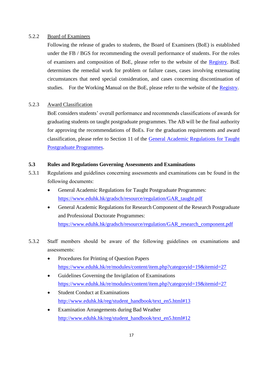#### 5.2.2 Board of Examiners

Following the release of grades to students, the Board of Examiners (BoE) is established under the FB / BGS for recommending the overall performance of students. For the roles of examiners and composition of BoE, please refer to the website of the [Registry.](https://www.eduhk.hk/re/modules/content/item.php?categoryid=19&itemid=25) BoE determines the remedial work for problem or failure cases, cases involving extenuating circumstances that need special consideration, and cases concerning discontinuation of studies. For the Working Manual on the BoE, please refer to the website of the [Registry.](https://www.eduhk.hk/re/modules/content/item.php?categoryid=19&itemid=25)

#### 5.2.3 Award Classification

BoE considers students' overall performance and recommends classifications of awards for graduating students on taught postgraduate programmes. The AB will be the final authority for approving the recommendations of BoEs. For the graduation requirements and award classification, please refer to Section 11 of the [General Academic Regulations for Taught](https://www.eduhk.hk/gradsch/resource/regulation/GAR_taught.pdf)  [Postgraduate Programmes.](https://www.eduhk.hk/gradsch/resource/regulation/GAR_taught.pdf)

#### <span id="page-20-0"></span>**5.3 Rules and Regulations Governing Assessments and Examinations**

- 5.3.1 Regulations and guidelines concerning assessments and examinations can be found in the following documents:
	- General Academic Regulations for Taught Postgraduate Programmes: [https://www.eduhk.hk/gradsch/resource/regulation/GAR\\_taught.pdf](https://www.eduhk.hk/gradsch/resource/regulation/GAR_taught.pdf)
	- General Academic Regulations for Research Component of the Research Postgraduate and Professional Doctorate Programmes:

[https://www.eduhk.hk/gradsch/resource/regulation/GAR\\_research\\_component.pdf](https://www.eduhk.hk/gradsch/resource/regulation/GAR_research_component.pdf)

- 5.3.2 Staff members should be aware of the following guidelines on examinations and assessments:
	- Procedures for Printing of Question Papers <https://www.eduhk.hk/re/modules/content/item.php?categoryid=19&itemid=27>
	- Guidelines Governing the Invigilation of Examinations <https://www.eduhk.hk/re/modules/content/item.php?categoryid=19&itemid=27>
	- Student Conduct at Examinations [http://www.eduhk.hk/reg/student\\_handbook/text\\_en5.html#13](http://www.eduhk.hk/reg/student_handbook/text_en5.html#13)
	- Examination Arrangements during Bad Weather [http://www.eduhk.hk/reg/student\\_handbook/text\\_en5.html#12](http://www.eduhk.hk/reg/student_handbook/text_en5.html#12)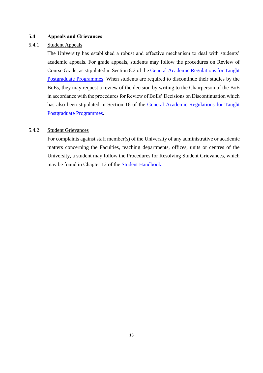#### <span id="page-21-0"></span>**5.4 Appeals and Grievances**

#### 5.4.1 Student Appeals

The University has established a robust and effective mechanism to deal with students' academic appeals. For grade appeals, students may follow the procedures on Review of Course Grade, as stipulated in Section 8.2 of the [General Academic Regulations for Taught](https://www.eduhk.hk/gradsch/resource/regulation/GAR_taught.pdf)  [Postgraduate Programmes.](https://www.eduhk.hk/gradsch/resource/regulation/GAR_taught.pdf) When students are required to discontinue their studies by the BoEs, they may request a review of the decision by writing to the Chairperson of the BoE in accordance with the procedures for Review of BoEs' Decisions on Discontinuation which has also been stipulated in Section 16 of the [General Academic Regulations for Taught](https://www.eduhk.hk/gradsch/resource/regulation/GAR_taught.pdf)  [Postgraduate Programmes.](https://www.eduhk.hk/gradsch/resource/regulation/GAR_taught.pdf)

# 5.4.2 Student Grievances

For complaints against staff member(s) of the University of any administrative or academic matters concerning the Faculties, teaching departments, offices, units or centres of the University, a student may follow the Procedures for Resolving Student Grievances, which may be found in Chapter 12 of the [Student Handbook.](https://www.eduhk.hk/re/student_handbook/)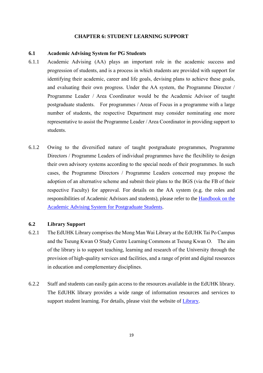#### **CHAPTER 6: STUDENT LEARNING SUPPORT**

#### <span id="page-22-0"></span>**6.1 Academic Advising System for PG Students**

- 6.1.1 Academic Advising (AA) plays an important role in the academic success and progression of students, and is a process in which students are provided with support for identifying their academic, career and life goals, devising plans to achieve these goals, and evaluating their own progress. Under the AA system, the Programme Director / Programme Leader / Area Coordinator would be the Academic Advisor of taught postgraduate students. For programmes / Areas of Focus in a programme with a large number of students, the respective Department may consider nominating one more representative to assist the Programme Leader / Area Coordinator in providing support to students.
- 6.1.2 Owing to the diversified nature of taught postgraduate programmes, Programme Directors / Programme Leaders of individual programmes have the flexibility to design their own advisory systems according to the special needs of their programmes. In such cases, the Programme Directors / Programme Leaders concerned may propose the adoption of an alternative scheme and submit their plans to the BGS (via the FB of their respective Faculty) for approval. For details on the AA system (e.g. the roles and responsibilities of Academic Advisors and students), please refer to the [Handbook on the](https://www.eduhk.hk/gradsch/images/student_support/Handbook_on_Academic_Advising_for_PG_Students.pdf)  [Academic Advising System for Postgraduate Students.](https://www.eduhk.hk/gradsch/images/student_support/Handbook_on_Academic_Advising_for_PG_Students.pdf)

#### <span id="page-22-1"></span>**6.2 Library Support**

- 6.2.1 The EdUHK Library comprises the Mong Man Wai Library at the EdUHK Tai Po Campus and the Tseung Kwan O Study Centre Learning Commons at Tseung Kwan O. The aim of the library is to support teaching, learning and research of the University through the provision of high-quality services and facilities, and a range of print and digital resources in education and complementary disciplines.
- 6.2.2 Staff and students can easily gain access to the resources available in the EdUHK library. The EdUHK library provides a wide range of information resources and services to support student learning. For details, please visit the website of [Library.](http://www.eduhk.hk/lib)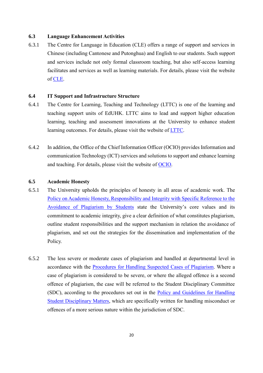#### <span id="page-23-0"></span>**6.3 Language Enhancement Activities**

6.3.1 The Centre for Language in Education (CLE) offers a range of support and services in Chinese (including Cantonese and Putonghua) and English to our students. Such support and services include not only formal classroom teaching, but also self-access learning facilitates and services as well as learning materials. For details, please visit the website of [CLE.](https://www.eduhk.hk/cle/en/)

#### <span id="page-23-1"></span>**6.4 IT Support and Infrastructure Structure**

- 6.4.1 The Centre for Learning, Teaching and Technology (LTTC) is one of the learning and teaching support units of EdUHK. LTTC aims to lead and support higher education learning, teaching and assessment innovations at the University to enhance student learning outcomes. For details, please visit the website of [LTTC.](http://www.eduhk.hk/lttc)
- 6.4.2 In addition, the Office of the Chief Information Officer (OCIO) provides Information and communication Technology (ICT) services and solutions to support and enhance learning and teaching. For details, please visit the website of [OCIO.](https://www.eduhk.hk/ocio/front)

#### <span id="page-23-2"></span>**6.5 Academic Honesty**

- 6.5.1 The University upholds the principles of honesty in all areas of academic work. The [Policy on Academic Honesty, Responsibility and Integrity with Specific Reference to the](https://www.eduhk.hk/re/modules/content/item.php?categoryid=9&itemid=116)  [Avoidance of Plagiarism by Students](https://www.eduhk.hk/re/modules/content/item.php?categoryid=9&itemid=116) state the University's core values and its commitment to academic integrity, give a clear definition of what constitutes plagiarism, outline student responsibilities and the support mechanism in relation the avoidance of plagiarism, and set out the strategies for the dissemination and implementation of the Policy.
- 6.5.2 The less severe or moderate cases of plagiarism and handled at departmental level in accordance with the [Procedures for Handling Suspected Cases of Plagiarism.](https://www.eduhk.hk/re/modules/content/item.php?categoryid=9&itemid=116) Where a case of plagiarism is considered to be severe, or where the alleged offence is a second offence of plagiarism, the case will be referred to the Student Disciplinary Committee (SDC), according to the procedures set out in the [Policy and Guidelines for Handling](https://www.eduhk.hk/reg/student_handbook/text_en4_4.html)  [Student Disciplinary Matters,](https://www.eduhk.hk/reg/student_handbook/text_en4_4.html) which are specifically written for handling misconduct or offences of a more serious nature within the jurisdiction of SDC.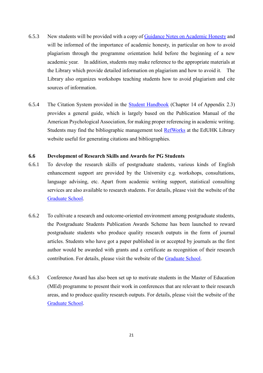- 6.5.3 New students will be provided with a copy of [Guidance Notes on Academic Honesty](https://www.eduhk.hk/acadprog/downloads/Academic_Honesty_EdUHK.pdf) and will be informed of the importance of academic honesty, in particular on how to avoid plagiarism through the programme orientation held before the beginning of a new academic year. In addition, students may make reference to the appropriate materials at the Library which provide detailed information on plagiarism and how to avoid it. The Library also organizes workshops teaching students how to avoid plagiarism and cite sources of information.
- 6.5.4 The Citation System provided in the [Student Handbook](http://www.eduhk.hk/reg/student_handbook/main.html) (Chapter 14 of Appendix 2.3) provides a general guide, which is largely based on the Publication Manual of the American Psychological Association, for making proper referencing in academic writing. Students may find the bibliographic management tool [RefWorks](http://www.lib.ied.edu.hk/research/refworks/) at the EdUHK Library website useful for generating citations and bibliographies.

#### <span id="page-24-0"></span>**6.6 Development of Research Skills and Awards for PG Students**

- 6.6.1 To develop the research skills of postgraduate students, various kinds of English enhancement support are provided by the University e.g. workshops, consultations, language advising, etc. Apart from academic writing support, statistical consulting services are also available to research students. For details, please visit the website of the [Graduate School.](https://www.eduhk.hk/gradsch/index.php/student-support.html)
- 6.6.2 To cultivate a research and outcome-oriented environment among postgraduate students, the Postgraduate Students Publication Awards Scheme has been launched to reward postgraduate students who produce quality research outputs in the form of journal articles. Students who have got a paper published in or accepted by journals as the first author would be awarded with grants and a certificate as recognition of their research contribution. For details, please visit the website of the [Graduate School.](https://www.eduhk.hk/gradsch/index.php/scholarship/awards.html)
- 6.6.3 Conference Award has also been set up to motivate students in the Master of Education (MEd) programme to present their work in conferences that are relevant to their research areas, and to produce quality research outputs. For details, please visit the website of the [Graduate School.](https://www.eduhk.hk/gradsch/index.php/scholarship/awards.html)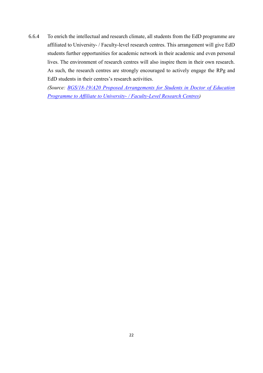6.6.4 To enrich the intellectual and research climate, all students from the EdD programme are affiliated to University- / Faculty-level research centres. This arrangement will give EdD students further opportunities for academic network in their academic and even personal lives. The environment of research centres will also inspire them in their own research. As such, the research centres are strongly encouraged to actively engage the RPg and EdD students in their centres's research activities.

*(Source: [BGS/18-19/A20 Proposed Arrangements for Students in Doctor of Education](https://www.eduhk.hk/academic_board_bgs/view.php?sso=y&m=2267&secid=52496)  [Programme to Affiliate to University-](https://www.eduhk.hk/academic_board_bgs/view.php?sso=y&m=2267&secid=52496) / Faculty-Level Research Centres)*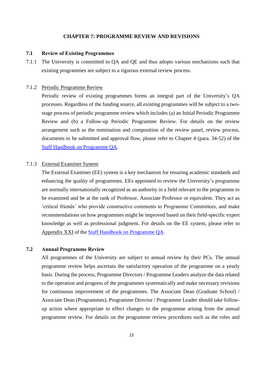#### **CHAPTER 7: PROGRAMME REVIEW AND REVISIONS**

#### <span id="page-26-0"></span>**7.1 Review of Existing Programmes**

7.1.1 The University is committed to QA and QE and thus adopts various mechanisms such that existing programmes are subject to a rigorous external review process.

#### 7.1.2 Periodic Programme Review

Periodic review of existing programmes forms an integral part of the University's QA processes. Regardless of the funding source, all existing programmes will be subject to a twostage process of periodic programme review which includes (a) an Initial Periodic Programme Review and (b) a Follow-up Periodic Programme Review. For details on the review arrangement such as the nomination and composition of the review panel, review process, documents to be submitted and approval flow, please refer to Chapter 4 (para. 34-52) of the [Staff Handbook on Programme QA.](https://www.eduhk.hk/re/modules/content/item.php?categoryid=43&itemid=119)

#### 7.1.3 External Examiner System

The External Examiner (EE) system is a key mechanism for ensuring academic standards and enhancing the quality of programmes. EEs appointed to review the University's programme are normally internationally recognized as an authority in a field relevant to the programme to be examined and be at the rank of Professor, Associate Professor or equivalent. They act as 'critical friends' who provide constructive comments to Programme Committees, and make recommendations on how programmes might be improved based on their field-specific expert knowledge as well as professional judgment. For details on the EE system, please refer to Appendix XXI of the [Staff Handbook on Programme QA.](https://www.eduhk.hk/re/modules/content/item.php?categoryid=43&itemid=119)

# **7.2 Annual Programme Review**

<span id="page-26-1"></span>All programmes of the University are subject to annual review by their PCs. The annual programme review helps ascertain the satisfactory operation of the programme on a yearly basis. During the process, Programme Directors / Programme Leaders analyze the data related to the operation and progress of the programmes systematically and make necessary revisions for continuous improvement of the programmes. The Associate Dean (Graduate School) / Associate Dean (Programmes), Programme Director / Programme Leader should take followup action where appropriate to effect changes to the programme arising from the annual programme review. For details on the programme review procedures such as the roles and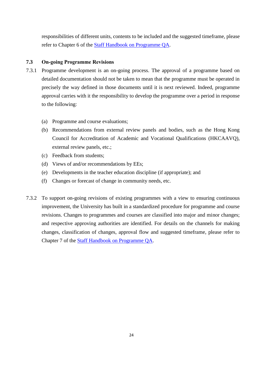responsibilities of different units, contents to be included and the suggested timeframe, please refer to Chapter 6 of the [Staff Handbook on Programme QA.](https://www.eduhk.hk/re/modules/content/item.php?categoryid=43&itemid=119)

# <span id="page-27-0"></span>**7.3 On-going Programme Revisions**

- 7.3.1 Programme development is an on-going process. The approval of a programme based on detailed documentation should not be taken to mean that the programme must be operated in precisely the way defined in those documents until it is next reviewed. Indeed, programme approval carries with it the responsibility to develop the programme over a period in response to the following:
	- (a) Programme and course evaluations;
	- (b) Recommendations from external review panels and bodies, such as the Hong Kong Council for Accreditation of Academic and Vocational Qualifications (HKCAAVQ), external review panels, etc.;
	- (c) Feedback from students;
	- (d) Views of and/or recommendations by EEs;
	- (e) Developments in the teacher education discipline (if appropriate); and
	- (f) Changes or forecast of change in community needs, etc.
- 7.3.2 To support on-going revisions of existing programmes with a view to ensuring continuous improvement, the University has built in a standardized procedure for programme and course revisions. Changes to programmes and courses are classified into major and minor changes; and respective approving authorities are identified. For details on the channels for making changes, classification of changes, approval flow and suggested timeframe, please refer to Chapter 7 of the [Staff Handbook on Programme QA.](https://www.eduhk.hk/re/modules/content/item.php?categoryid=43&itemid=119)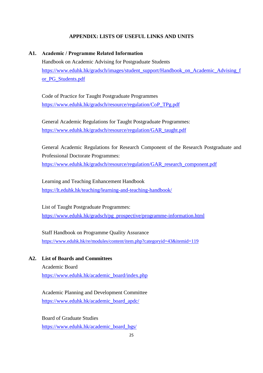#### **APPENDIX: LISTS OF USEFUL LINKS AND UNITS**

#### **A1. Academic / Programme Related Information**

<span id="page-28-0"></span>Handbook on Academic Advising for Postgraduate Students [https://www.eduhk.hk/gradsch/images/student\\_support/Handbook\\_on\\_Academic\\_Advising\\_f](https://www.eduhk.hk/gradsch/images/student_support/Handbook_on_Academic_Advising_for_PG_Students.pdf) [or\\_PG\\_Students.pdf](https://www.eduhk.hk/gradsch/images/student_support/Handbook_on_Academic_Advising_for_PG_Students.pdf)

Code of Practice for Taught Postgraduate Programmes [https://www.eduhk.hk/gradsch/resource/regulation/CoP\\_TPg.pdf](https://www.eduhk.hk/gradsch/resource/regulation/CoP_TPg.pdf)

General Academic Regulations for Taught Postgraduate Programmes: [https://www.eduhk.hk/gradsch/resource/regulation/GAR\\_taught.pdf](https://www.eduhk.hk/gradsch/resource/regulation/GAR_taught.pdf)

General Academic Regulations for Research Component of the Research Postgraduate and Professional Doctorate Programmes: [https://www.eduhk.hk/gradsch/resource/regulation/GAR\\_research\\_component.pdf](https://www.eduhk.hk/gradsch/resource/regulation/GAR_research_component.pdf)

Learning and Teaching Enhancement Handbook <https://lt.eduhk.hk/teaching/learning-and-teaching-handbook/>

List of Taught Postgraduate Programmes: [https://www.eduhk.hk/gradsch/pg\\_prospective/programme-information.html](https://www.eduhk.hk/gradsch/pg_prospective/programme-information.html)

Staff Handbook on Programme Quality Assurance <https://www.eduhk.hk/re/modules/content/item.php?categoryid=43&itemid=119>

**A2. List of Boards and Committees**

<span id="page-28-1"></span>Academic Board [https://www.eduhk.hk/academic\\_board/index.php](https://www.eduhk.hk/academic_board/index.php)

Academic Planning and Development Committee [https://www.eduhk.hk/academic\\_board\\_apdc/](https://www.eduhk.hk/academic_board_apdc/)

Board of Graduate Studies [https://www.eduhk.hk/academic\\_board\\_bgs/](https://www.eduhk.hk/academic_board_bgs/)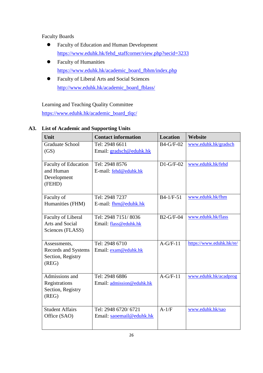Faculty Boards

- Faculty of Education and Human Development [https://www.eduhk.hk/fehd\\_staffcorner/view.php?secid=3233](https://www.eduhk.hk/fehd_staffcorner/view.php?secid=3233)
- Faculty of Humanities [https://www.eduhk.hk/academic\\_board\\_fbhm/index.php](https://www.eduhk.hk/academic_board_fbhm/index.php)
- Faculty of Liberal Arts and Social Sciences [http://www.eduhk.hk/academic\\_board\\_fblass/](http://www.eduhk.hk/academic_board_fblass/)

Learning and Teaching Quality Committee [https://www.eduhk.hk/academic\\_board\\_tlqc/](https://www.eduhk.hk/academic_board_tlqc/)

<span id="page-29-0"></span>

| Unit                        | <b>Contact information</b> | <b>Location</b> | Website                  |
|-----------------------------|----------------------------|-----------------|--------------------------|
| <b>Graduate School</b>      | Tel: 2948 6611             | B4-G/F-02       | www.eduhk.hk/gradsch     |
| (GS)                        | Email: gradsch@eduhk.hk    |                 |                          |
|                             |                            |                 |                          |
| <b>Faculty of Education</b> | Tel: 2948 8576             | $D1-G/F-02$     | www.eduhk.hk/fehd        |
| and Human                   | E-mail: fehd@eduhk.hk      |                 |                          |
| Development                 |                            |                 |                          |
| (FEHD)                      |                            |                 |                          |
|                             |                            |                 |                          |
| Faculty of                  | Tel: 2948 7237             | $B4-1/F-51$     | www.eduhk.hk/fhm         |
| Humanities (FHM)            | E-mail: fhm@eduhk.hk       |                 |                          |
|                             |                            |                 |                          |
| Faculty of Liberal          | Tel: 2948 7151/8036        | $B2-G/F-04$     | www.eduhk.hk/flass       |
| Arts and Social             | Email: flass@eduhk.hk      |                 |                          |
| Sciences (FLASS)            |                            |                 |                          |
|                             |                            |                 |                          |
| Assessments,                | Tel: 2948 6710             | $A-G/F-11$      | https://www.eduhk.hk/re/ |
| Records and Systems         | Email: exam@eduhk.hk       |                 |                          |
| Section, Registry           |                            |                 |                          |
| (REG)                       |                            |                 |                          |
| Admissions and              | Tel: 2948 6886             | $A-G/F-11$      | www.eduhk.hk/acadprog    |
| Registrations               | Email: admission@eduhk.hk  |                 |                          |
| Section, Registry           |                            |                 |                          |
| (REG)                       |                            |                 |                          |
|                             |                            |                 |                          |
| <b>Student Affairs</b>      | Tel: 2948 6720/ 6721       | $A-1/F$         | www.eduhk.hk/sao         |
| Office (SAO)                | Email: saoemail@eduhk.hk   |                 |                          |
|                             |                            |                 |                          |
|                             |                            |                 |                          |

# **A3. List of Academic and Supporting Units**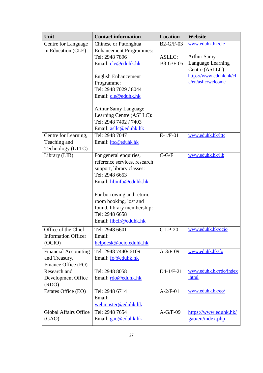| Unit                         | <b>Contact information</b>     | <b>Location</b>  | Website                 |
|------------------------------|--------------------------------|------------------|-------------------------|
| Centre for Language          | Chinese or Putonghua           | $B2-G/F-03$      | www.eduhk.hk/cle        |
| in Education (CLE)           | <b>Enhancement Programmes:</b> |                  |                         |
|                              | Tel: 2948 7896                 | <b>ASLLC:</b>    | <b>Arthur Samy</b>      |
|                              | Email: cle@eduhk.hk            | <b>B3-G/F-05</b> | Language Learning       |
|                              |                                |                  | Centre (ASLLC):         |
|                              | <b>English Enhancement</b>     |                  | https://www.eduhk.hk/cl |
|                              | Programme:                     |                  | e/en/asllc/welcome      |
|                              | Tel: 2948 7029 / 8044          |                  |                         |
|                              | Email: cle@eduhk.hk            |                  |                         |
|                              | <b>Arthur Samy Language</b>    |                  |                         |
|                              | Learning Centre (ASLLC):       |                  |                         |
|                              | Tel: 2948 7402 / 7403          |                  |                         |
|                              | Email: asllc@eduhk.hk          |                  |                         |
| Centre for Learning,         | Tel: 2948 7047                 | $E-1/F-01$       | www.eduhk.hk/lttc       |
| Teaching and                 | Email: lttc@eduhk.hk           |                  |                         |
| Technology (LTTC)            |                                |                  |                         |
| Library (LIB)                | For general enquiries,         | $C-G/F$          | www.eduhk.hk/lib        |
|                              | reference services, research   |                  |                         |
|                              | support, library classes:      |                  |                         |
|                              | Tel: 2948 6653                 |                  |                         |
|                              | Email: libinfo@eduhk.hk        |                  |                         |
|                              | For borrowing and return,      |                  |                         |
|                              | room booking, lost and         |                  |                         |
|                              | found, library membership:     |                  |                         |
|                              | Tel: 2948 6658                 |                  |                         |
|                              | Email: libcir@eduhk.hk         |                  |                         |
| Office of the Chief          | Tel: 2948 6601                 | $C-LP-20$        | www.eduhk.hk/ocio       |
| <b>Information Officer</b>   | Email:                         |                  |                         |
| (OCIO)                       | helpdesk@ocio.eduhk.hk         |                  |                         |
| <b>Financial Accounting</b>  | Tel: 2948 7440/ 6109           | $A-3/F-09$       | www.eduhk.hk/fo         |
| and Treasury,                | Email: fo@eduhk.hk             |                  |                         |
| Finance Office (FO)          |                                |                  |                         |
| Research and                 | Tel: 2948 8058                 | $D4-1/F-21$      | www.eduhk.hk/rdo/index  |
| Development Office           | Email: rdo@eduhk.hk            |                  | .html                   |
| (RDO)                        |                                |                  |                         |
| Estates Office (EO)          | Tel: 2948 6714                 | $A-2/F-01$       | www.eduhk.hk/eo/        |
|                              | Email:                         |                  |                         |
|                              | webmaster@eduhk.hk             |                  |                         |
| <b>Global Affairs Office</b> | Tel: 2948 7654                 | $A-G/F-09$       | https://www.eduhk.hk/   |
| (GAO)                        | Email: gao@eduhk.hk            |                  | gao/en/index.php        |